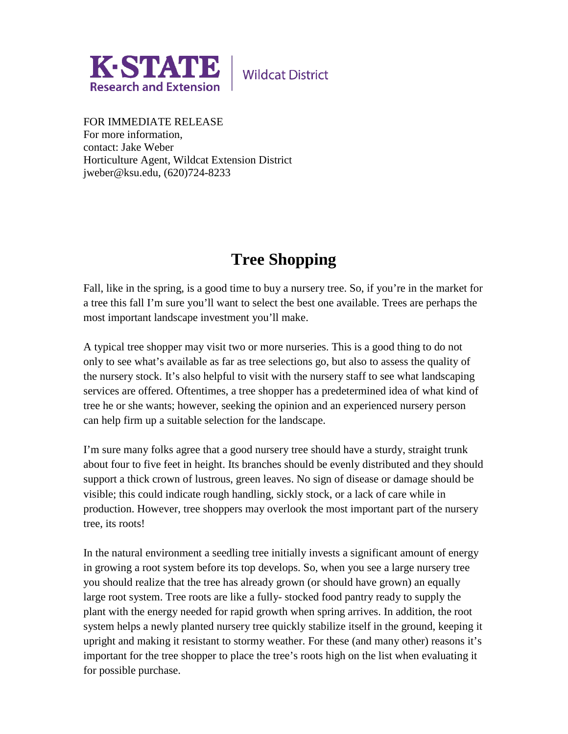

**Wildcat District** 

FOR IMMEDIATE RELEASE For more information, contact: Jake Weber Horticulture Agent, Wildcat Extension District jweber@ksu.edu, (620)724-8233

## **Tree Shopping**

Fall, like in the spring, is a good time to buy a nursery tree. So, if you're in the market for a tree this fall I'm sure you'll want to select the best one available. Trees are perhaps the most important landscape investment you'll make.

A typical tree shopper may visit two or more nurseries. This is a good thing to do not only to see what's available as far as tree selections go, but also to assess the quality of the nursery stock. It's also helpful to visit with the nursery staff to see what landscaping services are offered. Oftentimes, a tree shopper has a predetermined idea of what kind of tree he or she wants; however, seeking the opinion and an experienced nursery person can help firm up a suitable selection for the landscape.

I'm sure many folks agree that a good nursery tree should have a sturdy, straight trunk about four to five feet in height. Its branches should be evenly distributed and they should support a thick crown of lustrous, green leaves. No sign of disease or damage should be visible; this could indicate rough handling, sickly stock, or a lack of care while in production. However, tree shoppers may overlook the most important part of the nursery tree, its roots!

In the natural environment a seedling tree initially invests a significant amount of energy in growing a root system before its top develops. So, when you see a large nursery tree you should realize that the tree has already grown (or should have grown) an equally large root system. Tree roots are like a fully- stocked food pantry ready to supply the plant with the energy needed for rapid growth when spring arrives. In addition, the root system helps a newly planted nursery tree quickly stabilize itself in the ground, keeping it upright and making it resistant to stormy weather. For these (and many other) reasons it's important for the tree shopper to place the tree's roots high on the list when evaluating it for possible purchase.